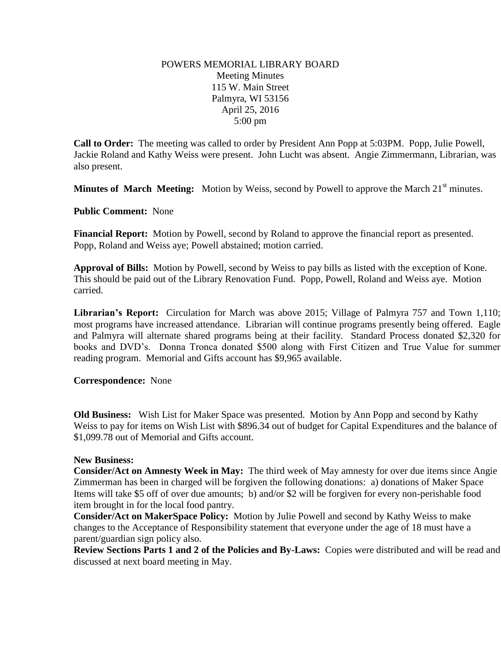## POWERS MEMORIAL LIBRARY BOARD Meeting Minutes 115 W. Main Street Palmyra, WI 53156 April 25, 2016 5:00 pm

**Call to Order:** The meeting was called to order by President Ann Popp at 5:03PM. Popp, Julie Powell, Jackie Roland and Kathy Weiss were present. John Lucht was absent. Angie Zimmermann, Librarian, was also present.

**Minutes of March Meeting:** Motion by Weiss, second by Powell to approve the March 21<sup>st</sup> minutes.

**Public Comment:** None

**Financial Report:** Motion by Powell, second by Roland to approve the financial report as presented. Popp, Roland and Weiss aye; Powell abstained; motion carried.

**Approval of Bills:** Motion by Powell, second by Weiss to pay bills as listed with the exception of Kone. This should be paid out of the Library Renovation Fund. Popp, Powell, Roland and Weiss aye. Motion carried.

**Librarian's Report:** Circulation for March was above 2015; Village of Palmyra 757 and Town 1,110; most programs have increased attendance. Librarian will continue programs presently being offered. Eagle and Palmyra will alternate shared programs being at their facility. Standard Process donated \$2,320 for books and DVD's. Donna Tronca donated \$500 along with First Citizen and True Value for summer reading program. Memorial and Gifts account has \$9,965 available.

## **Correspondence:** None

**Old Business:** Wish List for Maker Space was presented. Motion by Ann Popp and second by Kathy Weiss to pay for items on Wish List with \$896.34 out of budget for Capital Expenditures and the balance of \$1,099.78 out of Memorial and Gifts account.

## **New Business:**

**Consider/Act on Amnesty Week in May:** The third week of May amnesty for over due items since Angie Zimmerman has been in charged will be forgiven the following donations: a) donations of Maker Space Items will take \$5 off of over due amounts; b) and/or \$2 will be forgiven for every non-perishable food item brought in for the local food pantry.

**Consider/Act on MakerSpace Policy:** Motion by Julie Powell and second by Kathy Weiss to make changes to the Acceptance of Responsibility statement that everyone under the age of 18 must have a parent/guardian sign policy also.

**Review Sections Parts 1 and 2 of the Policies and By-Laws:** Copies were distributed and will be read and discussed at next board meeting in May.